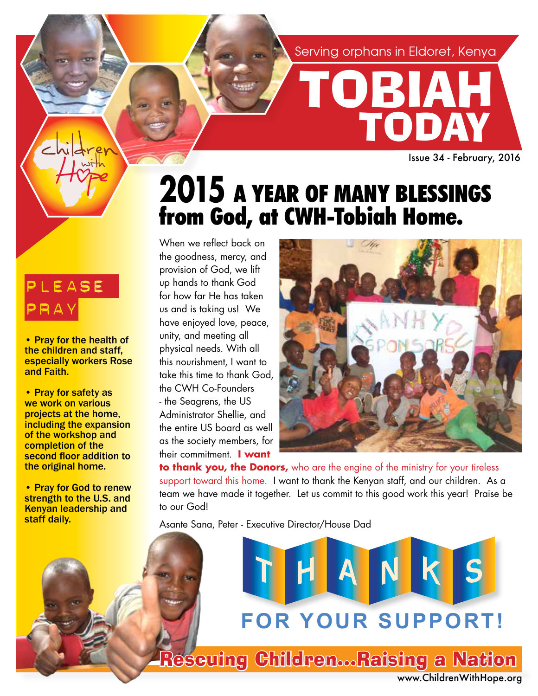Serving orphans in Eldoret, Kenya

TOBIAH

TODAY

Issue 34 - February, 2016

## **2015** A YEAR OF MANY BLESSINGS from God, at CWH-Tobiah Home.

When we reflect back on the goodness, mercy, and provision of God, we lift up hands to thank God for how far He has taken us and is taking us! We have enjoyed love, peace, unity, and meeting all physical needs. With all this nourishment, I want to take this time to thank God, the CWH Co-Founders - the Seagrens, the US Administrator Shellie, and the entire US board as well as the society members, for their commitment. **I want** 



**to thank you, the Donors,** who are the engine of the ministry for your tireless support toward this home. I want to thank the Kenyan staff, and our children. As a team we have made it together. Let us commit to this good work this year! Praise be to our God!

Asante Sana, Peter - Executive Director/House Dad

**FOR YOUR SUPPORT!**

www.ChildrenWithHope.org Rescuing Children...Raising a Nation

### PLEASE PRAY

• Pray for the health of the children and staff, especially workers Rose and Faith.

• Pray for safety as we work on various projects at the home, including the expansion of the workshop and completion of the second floor addition to the original home.

• Pray for God to renew strength to the U.S. and Kenyan leadership and staff daily.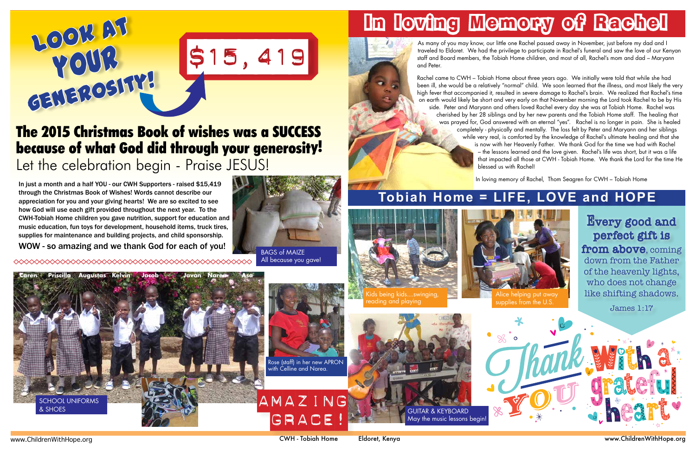www.ChildrenWithHope.org CWH - Tobiah Home Eldoret, Kenya www.ChildrenWithHope.org



## In loving Memory of Rachel

As many of you may know, our little one Rachel passed away in November, just before my dad and I traveled to Eldoret. We had the privilege to participate in Rachel's funeral and saw the love of our Kenyan staff and Board members, the Tobiah Home children, and most of all, Rachel's mom and dad – Maryann and Peter.

Rachel came to CWH – Tobiah Home about three years ago. We initially were told that while she had been ill, she would be a relatively "normal" child. We soon learned that the illness, and most likely the very high fever that accompanied it, resulted in severe damage to Rachel's brain. We realized that Rachel's time on earth would likely be short and very early on that November morning the Lord took Rachel to be by His side. Peter and Maryann and others loved Rachel every day she was at Tobiah Home. Rachel was cherished by her 28 siblings and by her new parents and the Tobiah Home staff. The healing that was prayed for, God answered with an eternal "yes". Rachel is no longer in pain. She is healed completely - physically and mentally. The loss felt by Peter and Maryann and her siblings while very real, is comforted by the knowledge of Rachel's ultimate healing and that she is now with her Heavenly Father. We thank God for the time we had with Rachel – the lessons learned and the love given. Rachel's life was short, but it was a life that impacted all those at CWH - Tobiah Home. We thank the Lord for the time He blessed us with Rachel!

In loving memory of Rachel, Thom Seagren for CWH – Tobiah Home



## The 2015 Christmas Book of wishes was a SUCCESS because of what God did through your generosity! Let the celebration begin - Praise JESUS!

In just a month and a half YOU - our CWH Supporters - raised \$15,419 through the Christmas Book of Wishes! Words cannot describe our appreciation for you and your giving hearts! We are so excited to see how God will use each gift provided throughout the next year. To the CWH-Tobiah Home children you gave nutrition, support for education and music education, fun toys for development, household items, truck tires, supplies for maintenance and building projects, and child sponsorship.

WOW - so amazing and we thank God for each of you!



All because you gave!





Rose (staff) in her new APRON with Celline and Narea.



GUITAR & KEYBOARD







Every good and perfect gift is from above, coming down from the Father of the heavenly lights, who does not change like shifting shadows.

James 1:17

### **Tobiah Home = LIFE, LOVE and HOPE**